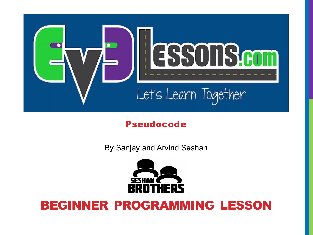

#### Pseudocode

By Sanjay and Arvind Seshan



#### BEGINNER PROGRAMMING LESSON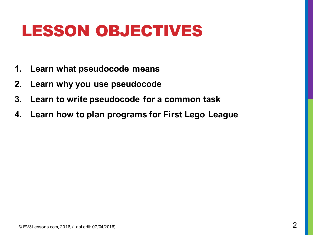#### LESSON OBJECTIVES

- **1. Learn what pseudocode means**
- **2. Learn why you use pseudocode**
- **3. Learn to write pseudocode for a common task**
- **4. Learn how to plan programs for First Lego League**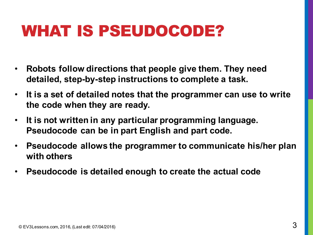#### WHAT IS PSEUDOCODE?

- **Robots follow directions that people give them. They need detailed, step-by-step instructions to complete a task.**
- **It is a set of detailed notes that the programmer can use to write the code when they are ready.**
- **It is not written in any particular programming language. Pseudocode can be in part English and part code.**
- **Pseudocode allows the programmer to communicate his/her plan with others**
- **Pseudocode is detailed enough to create the actual code**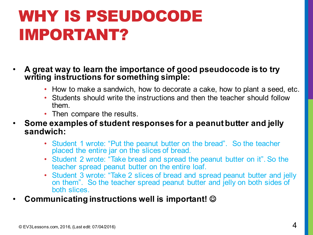# WHY IS PSEUDOCODE IMPORTANT?

- **A great way to learn the importance of good pseudocode is to try writing instructions for something simple:** 
	- How to make a sandwich, how to decorate a cake, how to plant a seed, etc.
	- Students should write the instructions and then the teacher should follow them.
	- Then compare the results.
- **Some examples of student responses for a peanut butter and jelly sandwich:**
	- Student 1 wrote: "Put the peanut butter on the bread". So the teacher placed the entire jar on the slices of bread.
	- Student 2 wrote: "Take bread and spread the peanut butter on it". So the teacher spread peanut butter on the entire loaf.
	- Student 3 wrote: "Take 2 slices of bread and spread peanut butter and jelly on them". So the teacher spread peanut butter and jelly on both sides of both slices.
- **Communicating instructions well is important!** J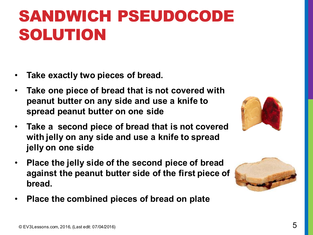# SANDWICH PSEUDOCODE SOLUTION

- **Take exactly two pieces of bread.**
- **Take one piece of bread that is not covered with peanut butter on any side and use a knife to spread peanut butter on one side**
- **Take a second piece of bread that is not covered with jelly on any side and use a knife to spread jelly on one side**
- **Place the jelly side of the second piece of bread against the peanut butter side of the first piece of bread.**
- **Place the combined pieces of bread on plate**



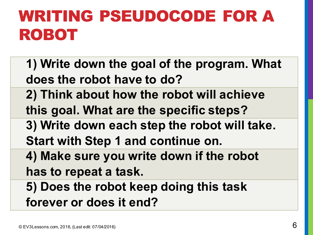# WRITING PSEUDOCODE FOR A ROBOT

**1) Write down the goal of the program. What does the robot have to do? 2) Think about how the robot will achieve this goal. What are the specific steps? 3) Write down each step the robot will take. Start with Step 1 and continue on. 4) Make sure you write down if the robot has to repeat a task. 5) Does the robot keep doing this task forever or does it end?**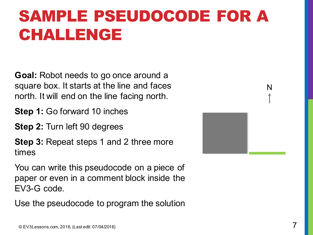# SAMPLE PSEUDOCODE FOR A CHALLENGE

**Goal:** Robot needs to go once around a square box. It starts at the line and faces north. It will end on the line facing north.

- **Step 1:** Go forward 10 inches
- **Step 2:** Turn left 90 degrees

**Step 3:** Repeat steps 1 and 2 three more times

You can write this pseudocode on a piece of paper or even in a comment block inside the EV3-G code.

Use the pseudocode to program the solution



N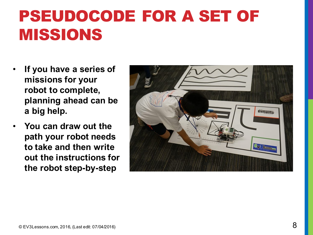#### PSEUDOCODE FOR A SET OF MISSIONS

- **If you have a series of missions for your robot to complete, planning ahead can be a big help.**
- **You can draw out the path your robot needs to take and then write out the instructions for the robot step-by-step**

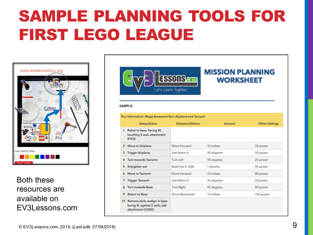# SAMPLE PLANNING TOOLS FOR FIRST LEGO LEAGUE



Both these resources are available on EV3Lessons.com



#### **MISSION PLANNING WORKSHEET**

#### **SAMPLE:**

Run Information: Mega-Awesome Run: Airplane and Tsunami

| Setup/Action                                                                           | Direction/Motion  | Amount     | <b>Other Settings</b> |
|----------------------------------------------------------------------------------------|-------------------|------------|-----------------------|
| Robot in base, Facing W,<br>touching S wall, attachment<br><b>STICK</b>                |                   |            |                       |
| 2 Move to Airplane                                                                     | Move Forward      | 10 inches  | 50 power              |
| 3 Trigger Airplane                                                                     | Use Motor A       | 30 degrees | 50 power              |
| 4 Turn towards Tsunami                                                                 | Tum Left          | 90 degrees | 25 power              |
| 5 Straighten out                                                                       | Back into S. Wall | 1 second   | 50 power              |
| 6 Move to Tsunami                                                                      | Move Forward      | 10 inches  | 80 power              |
| 7 Trigger Tsunami                                                                      | Use Motor A       | 50 degrees | 20 power              |
| <b>Turn towards Base</b>                                                               | <b>Turn Right</b> | 45 degrees | 50 power              |
| <b>Return to Base</b>                                                                  | Move Backwards    | 15 inches  | 100 power             |
| 10 Remove stick, realign in base<br>facing N, against E wall, add<br>attachment (CAGE) |                   |            |                       |
|                                                                                        |                   |            |                       |